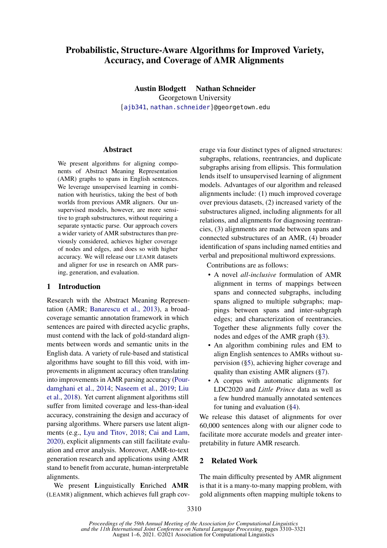# Probabilistic, Structure-Aware Algorithms for Improved Variety, Accuracy, and Coverage of AMR Alignments

Austin Blodgett Nathan Schneider Georgetown University {[ajb341](mailto:ajb341@georgetown.edu), [nathan.schneider](mailto:nathan.schneider@georgetown.edu)}@georgetown.edu

#### Abstract

We present algorithms for aligning components of Abstract Meaning Representation (AMR) graphs to spans in English sentences. We leverage unsupervised learning in combination with heuristics, taking the best of both worlds from previous AMR aligners. Our unsupervised models, however, are more sensitive to graph substructures, without requiring a separate syntactic parse. Our approach covers a wider variety of AMR substructures than previously considered, achieves higher coverage of nodes and edges, and does so with higher accuracy. We will release our LEAMR datasets and aligner for use in research on AMR parsing, generation, and evaluation.

### 1 Introduction

Research with the Abstract Meaning Representation (AMR; [Banarescu et al.,](#page-9-0) [2013\)](#page-9-0), a broadcoverage semantic annotation framework in which sentences are paired with directed acyclic graphs, must contend with the lack of gold-standard alignments between words and semantic units in the English data. A variety of rule-based and statistical algorithms have sought to fill this void, with improvements in alignment accuracy often translating into improvements in AMR parsing accuracy [\(Pour](#page-9-1)[damghani et al.,](#page-9-1) [2014;](#page-9-1) [Naseem et al.,](#page-9-2) [2019;](#page-9-2) [Liu](#page-9-3) [et al.,](#page-9-3) [2018\)](#page-9-3). Yet current alignment algorithms still suffer from limited coverage and less-than-ideal accuracy, constraining the design and accuracy of parsing algorithms. Where parsers use latent alignments (e.g., [Lyu and Titov,](#page-9-4) [2018;](#page-9-4) [Cai and Lam,](#page-9-5) [2020\)](#page-9-5), explicit alignments can still facilitate evaluation and error analysis. Moreover, AMR-to-text generation research and applications using AMR stand to benefit from accurate, human-interpretable alignments.

We present Linguistically Enriched AMR (LEAMR) alignment, which achieves full graph coverage via four distinct types of aligned structures: subgraphs, relations, reentrancies, and duplicate subgraphs arising from ellipsis. This formulation lends itself to unsupervised learning of alignment models. Advantages of our algorithm and released alignments include: (1) much improved coverage over previous datasets, (2) increased variety of the substructures aligned, including alignments for all relations, and alignments for diagnosing reentrancies, (3) alignments are made between spans and connected substructures of an AMR, (4) broader identification of spans including named entities and verbal and prepositional multiword expressions.

Contributions are as follows:

- A novel *all-inclusive* formulation of AMR alignment in terms of mappings between spans and connected subgraphs, including spans aligned to multiple subgraphs; mappings between spans and inter-subgraph edges; and characterization of reentrancies. Together these alignments fully cover the nodes and edges of the AMR graph ([§3\)](#page-1-0).
- An algorithm combining rules and EM to align English sentences to AMRs without supervision ([§5\)](#page-4-0), achieving higher coverage and quality than existing AMR aligners ([§7\)](#page-7-0).
- A corpus with automatic alignments for LDC2020 and *Little Prince* data as well as a few hundred manually annotated sentences for tuning and evaluation ([§4\)](#page-3-0).

We release this dataset of alignments for over 60,000 sentences along with our aligner code to facilitate more accurate models and greater interpretability in future AMR research.

#### <span id="page-0-0"></span>2 Related Work

The main difficulty presented by AMR alignment is that it is a many-to-many mapping problem, with gold alignments often mapping multiple tokens to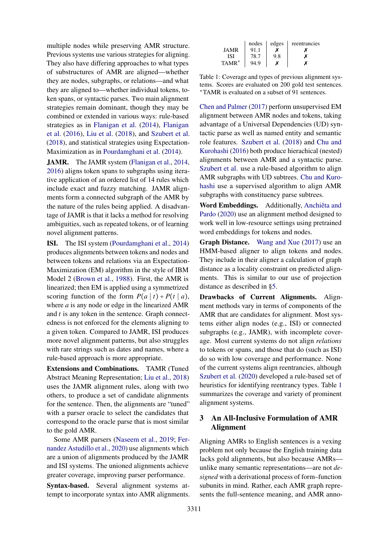multiple nodes while preserving AMR structure. Previous systems use various strategies for aligning. They also have differing approaches to what types of substructures of AMR are aligned—whether they are nodes, subgraphs, or relations—and what they are aligned to—whether individual tokens, token spans, or syntactic parses. Two main alignment strategies remain dominant, though they may be combined or extended in various ways: rule-based strategies as in [Flanigan et al.](#page-9-6) [\(2014\)](#page-9-6), [Flanigan](#page-9-7) [et al.](#page-9-7) [\(2016\)](#page-9-7), [Liu et al.](#page-9-3) [\(2018\)](#page-9-3), and [Szubert et al.](#page-9-8) [\(2018\)](#page-9-8), and statistical strategies using Expectation-Maximization as in [Pourdamghani et al.](#page-9-1) [\(2014\)](#page-9-1).

JAMR. The JAMR system [\(Flanigan et al.,](#page-9-6) [2014,](#page-9-6) [2016\)](#page-9-7) aligns token spans to subgraphs using iterative application of an ordered list of 14 rules which include exact and fuzzy matching. JAMR alignments form a connected subgraph of the AMR by the nature of the rules being applied. A disadvantage of JAMR is that it lacks a method for resolving ambiguities, such as repeated tokens, or of learning novel alignment patterns.

ISI. The ISI system [\(Pourdamghani et al.,](#page-9-1) [2014\)](#page-9-1) produces alignments between tokens and nodes and between tokens and relations via an Expectation-Maximization (EM) algorithm in the style of IBM Model 2 [\(Brown et al.,](#page-9-9) [1988\)](#page-9-9). First, the AMR is linearized; then EM is applied using a symmetrized scoring function of the form  $P(a | t) + P(t | a)$ , where *a* is any node or edge in the linearized AMR and *t* is any token in the sentence. Graph connectedness is not enforced for the elements aligning to a given token. Compared to JAMR, ISI produces more novel alignment patterns, but also struggles with rare strings such as dates and names, where a rule-based approach is more appropriate.

Extensions and Combinations. TAMR (Tuned Abstract Meaning Representation; [Liu et al.,](#page-9-3) [2018\)](#page-9-3) uses the JAMR alignment rules, along with two others, to produce a set of candidate alignments for the sentence. Then, the alignments are "tuned" with a parser oracle to select the candidates that correspond to the oracle parse that is most similar to the gold AMR.

Some AMR parsers [\(Naseem et al.,](#page-9-2) [2019;](#page-9-2) [Fer](#page-9-10)[nandez Astudillo et al.,](#page-9-10) [2020\)](#page-9-10) use alignments which are a union of alignments produced by the JAMR and ISI systems. The unioned alignments achieve greater coverage, improving parser performance.

Syntax-based. Several alignment systems attempt to incorporate syntax into AMR alignments.

<span id="page-1-1"></span>

|             | nodes | edges | reentrancies |
|-------------|-------|-------|--------------|
| <b>JAMR</b> | 91.1  |       |              |
| ISI         | 78.7  | 9.8   |              |
| $TAMR^*$    | 94.9  |       |              |

Table 1: Coverage and types of previous alignment systems. Scores are evaluated on 200 gold test sentences. <sup>∗</sup>TAMR is evaluated on a subset of 91 sentences.

[Chen and Palmer](#page-9-11) [\(2017\)](#page-9-11) perform unsupervised EM alignment between AMR nodes and tokens, taking advantage of a Universal Dependencies (UD) syntactic parse as well as named entity and semantic role features. [Szubert et al.](#page-9-8) [\(2018\)](#page-9-8) and [Chu and](#page-9-12) [Kurohashi](#page-9-12) [\(2016\)](#page-9-12) both produce hierachical (nested) alignments between AMR and a syntactic parse. [Szubert et al.](#page-9-8) use a rule-based algorithm to align AMR subgraphs with UD subtrees. [Chu and Kuro](#page-9-12)[hashi](#page-9-12) use a supervised algorithm to align AMR subgraphs with constituency parse subtrees.

Word Embeddings. Additionally, [Anchiêta and](#page-9-13) [Pardo](#page-9-13) [\(2020\)](#page-9-13) use an alignment method designed to work well in low-resource settings using pretrained word embeddings for tokens and nodes.

Graph Distance. [Wang and Xue](#page-9-14) [\(2017\)](#page-9-14) use an HMM-based aligner to align tokens and nodes. They include in their aligner a calculation of graph distance as a locality constraint on predicted alignments. This is similar to our use of projection distance as described in [§5.](#page-4-0)

Drawbacks of Current Alignments. Alignment methods vary in terms of components of the AMR that are candidates for alignment. Most systems either align nodes (e.g., ISI) or connected subgraphs (e.g., JAMR), with incomplete coverage. Most current systems do not align *relations* to tokens or spans, and those that do (such as ISI) do so with low coverage and performance. None of the current systems align reentrancies, although [Szubert et al.](#page-9-15) [\(2020\)](#page-9-15) developed a rule-based set of heuristics for identifying reentrancy types. Table [1](#page-1-1) summarizes the coverage and variety of prominent alignment systems.

## <span id="page-1-0"></span>3 An All-Inclusive Formulation of AMR Alignment

Aligning AMRs to English sentences is a vexing problem not only because the English training data lacks gold alignments, but also because AMRs unlike many semantic representations—are not *designed* with a derivational process of form–function subunits in mind. Rather, each AMR graph represents the full-sentence meaning, and AMR anno-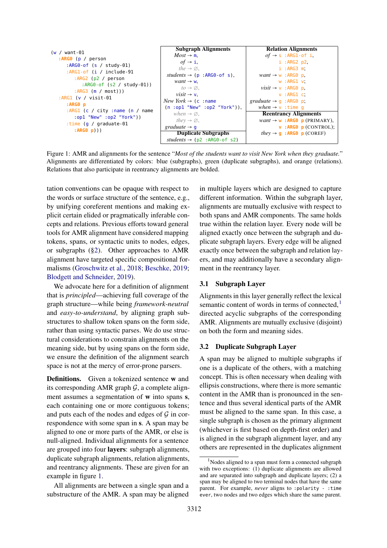<span id="page-2-0"></span>

| $(w / want-01)$                                                                                                                                  | <b>Subgraph Alignments</b>               | <b>Relation Alignments</b>                                 |
|--------------------------------------------------------------------------------------------------------------------------------------------------|------------------------------------------|------------------------------------------------------------|
| :ARGO $(p / person)$<br>: $ARG0-of$ (s / study-01)                                                                                               | $Most \rightarrow m$ .                   | $of \rightarrow s : ARG1-of$ i,                            |
|                                                                                                                                                  | of $\rightarrow$ i,                      | i : ARG2 p2                                                |
|                                                                                                                                                  | the $\rightarrow \emptyset$ .            | i :ARG3 m                                                  |
| : $ARG1-of$ (i / include-91                                                                                                                      | students $\rightarrow$ (p : ARG0-of s),  | $want \rightarrow w : ARG0 p$ ,                            |
| : $ARG2 (p2 / person)$                                                                                                                           | $want \rightarrow w$ ,                   | $w : ARG1 v$ ;                                             |
| : $ARG0-of (s2 / study-01))$                                                                                                                     | $to \rightarrow \emptyset$ .             | $visit \rightarrow v : ARGO p$ .                           |
| $: ARG3$ (m / most)))                                                                                                                            | visit $\rightarrow$ v.                   | v : ARG1 c:                                                |
| :ARG1 (v / visit-01<br>$: ARGO$ $p$<br>:ARG1 (c / city : name (n / name<br>:op1 "New" :op2 "York"))<br>:time $(q / q$ raduate-01<br>: $ARG0 p))$ | <i>New York</i> $\rightarrow$ (c : name) | graduate $\rightarrow$ g : ARG0 p;                         |
|                                                                                                                                                  | $(n : opt "New" : op2 "York");$ ,        | when $\rightarrow$ v : time q                              |
|                                                                                                                                                  | when $\rightarrow \emptyset$ ,           | <b>Reentrancy Alignments</b>                               |
|                                                                                                                                                  | they $\rightarrow \emptyset$ ,           | $want \rightarrow w : ARG0 p (PRIMARY)$ ,                  |
|                                                                                                                                                  | graduate $\rightarrow$ q                 | $V$ : ARGO $p$ (CONTROL);                                  |
|                                                                                                                                                  | <b>Duplicate Subgraphs</b>               | <i>they</i> $\rightarrow$ <b>q</b> : ARGO <b>p</b> (COREF) |
|                                                                                                                                                  | students $\rightarrow$ (p2 : ARG0-of s2) |                                                            |

Figure 1: AMR and alignments for the sentence "*Most of the students want to visit New York when they graduate.*" Alignments are differentiated by colors: blue (subgraphs), green (duplicate subgraphs), and orange (relations). Relations that also participate in reentrancy alignments are bolded.

tation conventions can be opaque with respect to the words or surface structure of the sentence, e.g., by unifying coreferent mentions and making explicit certain elided or pragmatically inferable concepts and relations. Previous efforts toward general tools for AMR alignment have considered mapping tokens, spans, or syntactic units to nodes, edges, or subgraphs ([§2\)](#page-0-0). Other approaches to AMR alignment have targeted specific compositional formalisms [\(Groschwitz et al.,](#page-9-16) [2018;](#page-9-16) [Beschke,](#page-9-17) [2019;](#page-9-17) [Blodgett and Schneider,](#page-9-18) [2019\)](#page-9-18).

We advocate here for a definition of alignment that is *principled*—achieving full coverage of the graph structure—while being *framework-neutral* and *easy-to-understand*, by aligning graph substructures to shallow token spans on the form side, rather than using syntactic parses. We do use structural considerations to constrain alignments on the meaning side, but by using spans on the form side, we ensure the definition of the alignment search space is not at the mercy of error-prone parsers.

Definitions. Given a tokenized sentence w and its corresponding AMR graph  $G$ , a complete alignment assumes a segmentation of w into spans s, each containing one or more contiguous tokens; and puts each of the nodes and edges of  $\mathcal G$  in correspondence with some span in s. A span may be aligned to one or more parts of the AMR, or else is null-aligned. Individual alignments for a sentence are grouped into four layers: subgraph alignments, duplicate subgraph alignments, relation alignments, and reentrancy alignments. These are given for an example in figure [1.](#page-2-0)

All alignments are between a single span and a substructure of the AMR. A span may be aligned

in multiple layers which are designed to capture different information. Within the subgraph layer, alignments are mutually exclusive with respect to both spans and AMR components. The same holds true within the relation layer. Every node will be aligned exactly once between the subgraph and duplicate subgraph layers. Every edge will be aligned exactly once between the subgraph and relation layers, and may additionally have a secondary alignment in the reentrancy layer.

#### 3.1 Subgraph Layer

Alignments in this layer generally reflect the lexical semantic content of words in terms of connected, $<sup>1</sup>$  $<sup>1</sup>$  $<sup>1</sup>$ </sup> directed acyclic subgraphs of the corresponding AMR. Alignments are mutually exclusive (disjoint) on both the form and meaning sides.

#### <span id="page-2-2"></span>3.2 Duplicate Subgraph Layer

A span may be aligned to multiple subgraphs if one is a duplicate of the others, with a matching concept. This is often necessary when dealing with ellipsis constructions, where there is more semantic content in the AMR than is pronounced in the sentence and thus several identical parts of the AMR must be aligned to the same span. In this case, a single subgraph is chosen as the primary alignment (whichever is first based on depth-first order) and is aligned in the subgraph alignment layer, and any others are represented in the duplicates alignment

<span id="page-2-1"></span><sup>&</sup>lt;sup>1</sup>Nodes aligned to a span must form a connected subgraph with two exceptions: (1) duplicate alignments are allowed and are separated into subgraph and duplicate layers; (2) a span may be aligned to two terminal nodes that have the same parent. For example, *never* aligns to :polarity - :time ever, two nodes and two edges which share the same parent.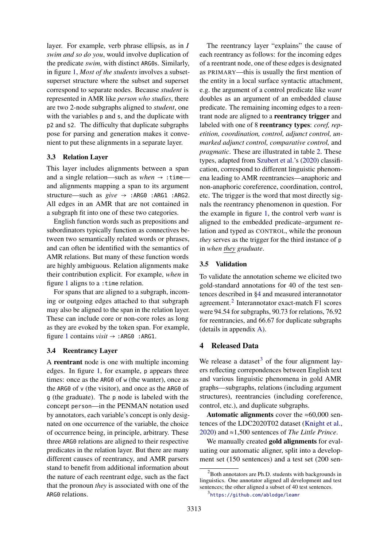layer. For example, verb phrase ellipsis, as in *I swim and so do you*, would involve duplication of the predicate *swim*, with distinct ARG0s. Similarly, in figure [1,](#page-2-0) *Most of the students* involves a subsetsuperset structure where the subset and superset correspond to separate nodes. Because *student* is represented in AMR like *person who studies*, there are two 2-node subgraphs aligned to *student*, one with the variables  $p$  and  $s$ , and the duplicate with p2 and s2. The difficulty that duplicate subgraphs pose for parsing and generation makes it convenient to put these alignments in a separate layer.

#### 3.3 Relation Layer

This layer includes alignments between a span and a single relation—such as  $when \rightarrow :time$  and alignments mapping a span to its argument structure—such as *give* → :ARG0 :ARG1 :ARG2. All edges in an AMR that are not contained in a subgraph fit into one of these two categories.

English function words such as prepositions and subordinators typically function as connectives between two semantically related words or phrases, and can often be identified with the semantics of AMR relations. But many of these function words are highly ambiguous. Relation alignments make their contribution explicit. For example, *when* in figure [1](#page-2-0) aligns to a :time relation.

For spans that are aligned to a subgraph, incoming or outgoing edges attached to that subgraph may also be aligned to the span in the relation layer. These can include core or non-core roles as long as they are evoked by the token span. For example, figure [1](#page-2-0) contains *visit* → :ARG0 :ARG1.

#### <span id="page-3-3"></span>3.4 Reentrancy Layer

A reentrant node is one with multiple incoming edges. In figure [1,](#page-2-0) for example, p appears three times: once as the ARG0 of w (the wanter), once as the ARG0 of v (the visitor), and once as the ARG0 of g (the graduate). The p node is labeled with the concept person—in the PENMAN notation used by annotators, each variable's concept is only designated on one occurrence of the variable, the choice of occurrence being, in principle, arbitrary. These three ARG0 relations are aligned to their respective predicates in the relation layer. But there are many different causes of reentrancy, and AMR parsers stand to benefit from additional information about the nature of each reentrant edge, such as the fact that the pronoun *they* is associated with one of the ARG0 relations.

The reentrancy layer "explains" the cause of each reentrancy as follows: for the incoming edges of a reentrant node, one of these edges is designated as PRIMARY—this is usually the first mention of the entity in a local surface syntactic attachment, e.g. the argument of a control predicate like *want* doubles as an argument of an embedded clause predicate. The remaining incoming edges to a reentrant node are aligned to a reentrancy trigger and labeled with one of 8 reentrancy types: *coref, repetition, coordination, control, adjunct control, unmarked adjunct control, comparative control,* and *pragmatic*. These are illustrated in table [2.](#page-4-1) These types, adapted from [Szubert et al.'](#page-9-15)s [\(2020\)](#page-9-15) classification, correspond to different linguistic phenomena leading to AMR reentrancies—anaphoric and non-anaphoric coreference, coordination, control, etc. The trigger is the word that most directly signals the reentrancy phenomenon in question. For the example in figure [1,](#page-2-0) the control verb *want* is aligned to the embedded predicate–argument relation and typed as CONTROL, while the pronoun *they* serves as the trigger for the third instance of p in *when they graduate*.

#### 3.5 Validation

To validate the annotation scheme we elicited two gold-standard annotations for 40 of the test sentences described in [§4](#page-3-0) and measured interannotator agreement.[2](#page-3-1) Interannotator exact-match F1 scores were 94.54 for subgraphs, 90.73 for relations, 76.92 for reentrancies, and 66.67 for duplicate subgraphs (details in appendix [A\)](#page-10-0).

### <span id="page-3-0"></span>4 Released Data

We release a dataset<sup>[3](#page-3-2)</sup> of the four alignment layers reflecting correpondences between English text and various linguistic phenomena in gold AMR graphs—subgraphs, relations (including argument structures), reentrancies (including coreference, control, etc.), and duplicate subgraphs.

Automatic alignments cover the  $\approx 60,000$  sentences of the LDC2020T02 dataset [\(Knight et al.,](#page-9-19) [2020\)](#page-9-19) and ≈1,500 sentences of *The Little Prince*.

We manually created **gold alignments** for evaluating our automatic aligner, split into a development set (150 sentences) and a test set (200 sen-

<span id="page-3-1"></span> ${}^{2}$ Both annotators are Ph.D. students with backgrounds in linguistics. One annotator aligned all development and test sentences; the other aligned a subset of 40 test sentences.

<span id="page-3-2"></span><sup>3</sup> <https://github.com/ablodge/leamr>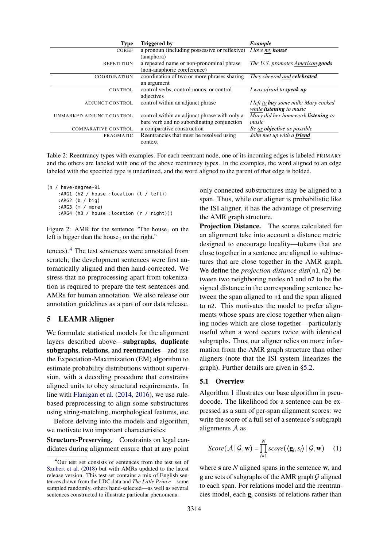<span id="page-4-1"></span>

| <b>Type</b>                | <b>Triggered by</b>                                                  | Example                                                                 |
|----------------------------|----------------------------------------------------------------------|-------------------------------------------------------------------------|
| <b>COREF</b>               | a pronoun (including possessive or reflexive) <i>I love my house</i> |                                                                         |
|                            | (anaphora)                                                           |                                                                         |
| <b>REPETITION</b>          | a repeated name or non-pronominal phrase                             | The U.S. promotes American goods                                        |
|                            | (non-anaphoric coreference)                                          |                                                                         |
| <b>COORDINATION</b>        | coordination of two or more phrases sharing                          | They cheered and celebrated                                             |
|                            | an argument                                                          |                                                                         |
| <b>CONTROL</b>             | control verbs, control nouns, or control                             | I was afraid to <b>speak up</b>                                         |
|                            | adjectives                                                           |                                                                         |
| <b>ADJUNCT CONTROL</b>     | control within an adjunct phrase                                     | I left to buy some milk; Mary cooked<br>while <b>listening</b> to music |
| UNMARKED ADJUNCT CONTROL   | control within an adjunct phrase with only a                         | Mary did her homework <b>listening</b> to                               |
|                            | bare verb and no subordinating conjunction                           | music                                                                   |
| <b>COMPARATIVE CONTROL</b> | a comparative construction                                           | Be as <b>objective</b> as possible                                      |
| PRAGMATIC                  | Reentrancies that must be resolved using                             | John met up with a friend                                               |
|                            | context                                                              |                                                                         |

Table 2: Reentrancy types with examples. For each reentrant node, one of its incoming edges is labeled PRIMARY and the others are labeled with one of the above reentrancy types. In the examples, the word aligned to an edge labeled with the specified type is underlined, and the word aligned to the parent of that edge is bolded.

```
(h / have-degree-91
:ARG1 (h2 / house :location (l / left))
:ARG2 (b / big)
:ARG3 (m / more)
:ARG4 (h3 / house :location (r / right)))
```
Figure 2: AMR for the sentence "The house<sub>1</sub> on the left is bigger than the house<sub>2</sub> on the right."

tences).[4](#page-4-2) The test sentences were annotated from scratch; the development sentences were first automatically aligned and then hand-corrected. We stress that no preprocessing apart from tokenization is required to prepare the test sentences and AMRs for human annotation. We also release our annotation guidelines as a part of our data release.

#### <span id="page-4-0"></span>5 LEAMR Aligner

We formulate statistical models for the alignment layers described above—subgraphs, duplicate subgraphs, relations, and reentrancies—and use the Expectation-Maximization (EM) algorithm to estimate probability distributions without supervision, with a decoding procedure that constrains aligned units to obey structural requirements. In line with [Flanigan et al.](#page-9-6) [\(2014,](#page-9-6) [2016\)](#page-9-7), we use rulebased preprocessing to align some substructures using string-matching, morphological features, etc.

Before delving into the models and algorithm, we motivate two important characteristics:

Structure-Preserving. Constraints on legal candidates during alignment ensure that at any point

only connected substructures may be aligned to a span. Thus, while our aligner is probabilistic like the ISI aligner, it has the advantage of preserving the AMR graph structure.

Projection Distance. The scores calculated for an alignment take into account a distance metric designed to encourage locality—tokens that are close together in a sentence are aligned to subtructures that are close together in the AMR graph. We define the *projection distance dist*(n1,n2) between two neighboring nodes n1 and n2 to be the signed distance in the corresponding sentence between the span aligned to n1 and the span aligned to n2. This motivates the model to prefer alignments whose spans are close together when aligning nodes which are close together—particularly useful when a word occurs twice with identical subgraphs. Thus, our aligner relies on more information from the AMR graph structure than other aligners (note that the ISI system linearizes the graph). Further details are given in [§5.2.](#page-5-0)

#### 5.1 Overview

Algorithm [1](#page-6-0) illustrates our base algorithm in pseudocode. The likelihood for a sentence can be expressed as a sum of per-span alignment scores: we write the score of a full set of a sentence's subgraph alignments  $A$  as

<span id="page-4-3"></span>
$$
Score(\mathcal{A} \mid \mathcal{G}, \mathbf{w}) = \prod_{i=1}^{N} score(\langle \mathbf{g}_i, s_i \rangle \mid \mathcal{G}, \mathbf{w}) \quad (1)
$$

where **s** are *N* aligned spans in the sentence **w**, and  **are sets of subgraphs of the AMR graph**  $G$  **aligned** to each span. For relations model and the reentrancies model, each  $g_i$  consists of relations rather than

<span id="page-4-2"></span><sup>4</sup>Our test set consists of sentences from the test set of [Szubert et al.](#page-9-8) [\(2018\)](#page-9-8) but with AMRs updated to the latest release version. This test set contains a mix of English sentences drawn from the LDC data and *The Little Prince*—some sampled randomly, others hand-selected—as well as several sentences constructed to illustrate particular phenomena.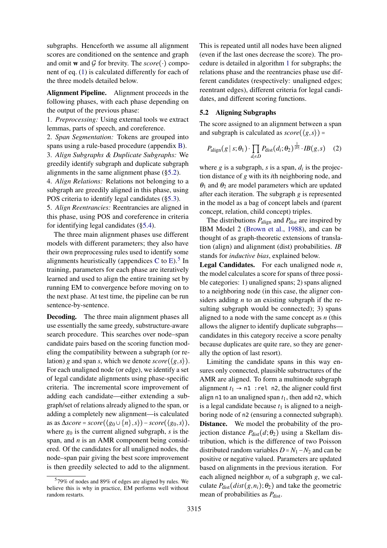subgraphs. Henceforth we assume all alignment scores are conditioned on the sentence and graph and omit **w** and G for brevity. The  $score(\cdot)$  component of eq. [\(1\)](#page-4-3) is calculated differently for each of the three models detailed below.

Alignment Pipeline. Alignment proceeds in the following phases, with each phase depending on the output of the previous phase:

1. *Preprocessing:* Using external tools we extract lemmas, parts of speech, and coreference.

2. *Span Segmentation:* Tokens are grouped into spans using a rule-based procedure (appendix [B\)](#page-10-1). 3. *Align Subgraphs & Duplicate Subgraphs:* We greedily identify subgraph and duplicate subgraph alignments in the same alignment phase ([§5.2\)](#page-5-0).

4. *Align Relations:* Relations not belonging to a subgraph are greedily aligned in this phase, using POS criteria to identify legal candidates ([§5.3\)](#page-6-1).

5. *Align Reentrancies:* Reentrancies are aligned in this phase, using POS and coreference in criteria for identifying legal candidates ([§5.4\)](#page-7-1).

The three main alignment phases use different models with different parameters; they also have their own preprocessing rules used to identify some alignments heuristically (appendices [C](#page-10-2) to [E\)](#page-11-0).<sup>[5](#page-5-1)</sup> In training, parameters for each phase are iteratively learned and used to align the entire training set by running EM to convergence before moving on to the next phase. At test time, the pipeline can be run sentence-by-sentence.

Decoding. The three main alignment phases all use essentially the same greedy, substructure-aware search procedure. This searches over node–span candidate pairs based on the scoring function modeling the compatibility between a subgraph (or relation) *g* and span *s*, which we denote  $score(\langle g, s \rangle)$ . For each unaligned node (or edge), we identify a set of legal candidate alignments using phase-specific criteria. The incremental score improvement of adding each candidate—either extending a subgraph/set of relations already aligned to the span, or adding a completely new alignment—is calculated as as ∆*score* = *score*(⟨*g*<sup>0</sup> ∪{*n*},*s*⟩)−*score*(⟨*g*0,*s*⟩), where  $g_0$  is the current aligned subgraph, *s* is the span, and *n* is an AMR component being considered. Of the candidates for all unaligned nodes, the node–span pair giving the best score improvement is then greedily selected to add to the alignment.

This is repeated until all nodes have been aligned (even if the last ones decrease the score). The procedure is detailed in algorithm [1](#page-6-0) for subgraphs; the relations phase and the reentrancies phase use different candidates (respectively: unaligned edges; reentrant edges), different criteria for legal candidates, and different scoring functions.

### <span id="page-5-0"></span>5.2 Aligning Subgraphs

The score assigned to an alignment between a span and subgraph is calculated as  $score(\langle g, s \rangle)$  =

$$
P_{\text{align}}(g \mid s; \theta_1) \cdot \prod_{d_i \in D} P_{\text{dist}}(d_i; \theta_2)^{\frac{1}{|D|}} \cdot IB(g, s) \quad (2)
$$

where  $g$  is a subgraph,  $s$  is a span,  $d_i$  is the projection distance of *g* with its *i*th neighboring node, and  $\theta_1$  and  $\theta_2$  are model parameters which are updated after each iteration. The subgraph *g* is represented in the model as a bag of concept labels and (parent concept, relation, child concept) triples.

The distributions  $P_{\text{align}}$  and  $P_{\text{dist}}$  are inspired by IBM Model 2 [\(Brown et al.,](#page-9-9) [1988\)](#page-9-9), and can be thought of as graph-theoretic extensions of translation (align) and alignment (dist) probabilities. *IB* stands for *inductive bias*, explained below.

Legal Candidates. For each unaligned node *n*, the model calculates a score for spans of three possible categories: 1) unaligned spans; 2) spans aligned to a neighboring node (in this case, the aligner considers adding *n* to an existing subgraph if the resulting subgraph would be connected); 3) spans aligned to a node with the same concept as *n* (this allows the aligner to identify duplicate subgraphs candidates in this category receive a score penalty because duplicates are quite rare, so they are generally the option of last resort).

Limiting the candidate spans in this way ensures only connected, plausible substructures of the AMR are aligned. To form a multinode subgraph alignment  $t_1 \rightarrow n1$  : rel n2, the aligner could first align n1 to an unaligned span  $t<sub>1</sub>$ , then add n2, which is a legal candidate because  $t_1$  is aligned to a neighboring node of n2 (ensuring a connected subgraph). Distance. We model the probability of the projection distance  $P_{dist}(d; θ_2)$  using a Skellam distribution, which is the difference of two Poisson distributed random variables  $D = N_1 - N_2$  and can be positive or negative valued. Parameters are updated based on alignments in the previous iteration. For each aligned neighbor  $n_i$  of a subgraph  $g$ , we calculate  $P_{dist}(dist(g, n_i); \theta_2)$  and take the geometric mean of probabilities as  $P_{dist}$ .

<span id="page-5-1"></span><sup>5</sup> 79% of nodes and 89% of edges are aligned by rules. We believe this is why in practice, EM performs well without random restarts.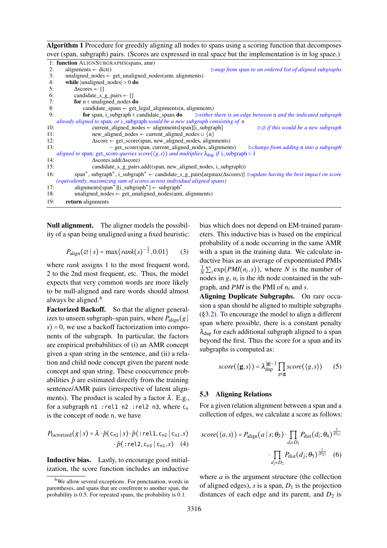<span id="page-6-0"></span>

|    | <b>Algorithm 1</b> Procedure for greedily aligning all nodes to spans using a scoring function that decomposes |                                                                        |
|----|----------------------------------------------------------------------------------------------------------------|------------------------------------------------------------------------|
|    | over (span, subgraph) pairs. (Scores are expressed in real space but the implementation is in log space.)      |                                                                        |
|    | 1: function ALIGNSUBGRAPHS(spans, amr)                                                                         |                                                                        |
|    | alignments $\leftarrow$ dict()                                                                                 | $\triangleright$ map from span to an ordered list of aligned subgraphs |
| 3: | unaligned_nodes $\leftarrow$ get_unaligned_nodes(amr, alignments)                                              |                                                                        |
| 4: | while $ $ unaligned_nodes $ >0$ do                                                                             |                                                                        |
|    | $A_{\text{cooror}}$ $\Box$                                                                                     |                                                                        |

| J.  | $\triangle$ scoles $\leftarrow$ 11                                                                                                                                                            |
|-----|-----------------------------------------------------------------------------------------------------------------------------------------------------------------------------------------------|
| 6:  | candidate s g pairs $\leftarrow$ []                                                                                                                                                           |
| 7:  | for $n \in$ unaligned_nodes do                                                                                                                                                                |
| 8:  | candidate spans $\leftarrow$ get legal alignments(n, alignments)                                                                                                                              |
| 9:  | <b>for</b> span, i_subgraph $\in$ candidate_spans <b>do</b> $\infty$ beither there is an edge between n and the indicated subgraph                                                            |
|     | already aligned to span, or i subgraph would be a new subgraph consisting of n                                                                                                                |
| 10: | current_aligned_nodes ← alignments[span][i_subgraph]<br>$\triangleright \emptyset$ if this would be a new subgraph                                                                            |
| 11: | new aligned nodes $\leftarrow$ current aligned nodes $\cup \{n\}$                                                                                                                             |
| 12: | $\Delta score \leftarrow get\_score(span, new\_aligned\_nodes, alignments)$                                                                                                                   |
| 13: | - get_score(span, current_aligned_nodes, alignments)<br>$\triangleright$ change from adding n into a subgraph                                                                                 |
|     | aligned to span; get_score queries score( $(g, s)$ ) and multiplies $\lambda_{\text{dup}}$ if i_subgraph > 1                                                                                  |
| 14: | $\Delta$ scores.add $(\Delta$ score)                                                                                                                                                          |
| 15: | candidate_s_g_pairs.add((span, new_aligned_nodes, i_subgraph))                                                                                                                                |
| 16: | span <sup>*</sup> , subgraph <sup>*</sup> , i_subgraph <sup>*</sup> $\leftarrow$ candidate_s_g_pairs[argmax( $\Delta$ scores)] $\triangleright$ <i>update having the best impact on score</i> |
|     | <i>(equivalently, maximizing sum of scores across individual aligned spans)</i>                                                                                                               |
| 17: | alignments[span*][i_subgraph*] $\leftarrow$ subgraph*                                                                                                                                         |
| 18: | unaligned nodes $\leftarrow$ get unaligned nodes(amr, alignments)                                                                                                                             |
| 19: | return alignments                                                                                                                                                                             |

Null alignment. The aligner models the possibility of a span being unaligned using a fixed heuristic:

$$
P_{\text{align}}(\varnothing \,|\, s) = \max\{rank(s)^{-\frac{1}{2}}, 0.01\} \qquad (3)
$$

where *rank* assigns 1 to the most frequent word, 2 to the 2nd most frequent, etc. Thus, the model expects that very common words are more likely to be null-aligned and rare words should almost always be aligned.<sup>[6](#page-6-2)</sup>

Factorized Backoff. So that the aligner generalizes to unseen subgraph–span pairs, where  $P_{\text{align}}(g)$  $s$ ) = 0, we use a backoff factorization into components of the subgraph. In particular, the factors are empirical probabilities of (i) an AMR concept given a span string in the sentence, and (ii) a relation and child node concept given the parent node concept and span string. These cooccurrence probabilities  $\hat{p}$  are estimated directly from the training sentence/AMR pairs (irrespective of latent alignments). The product is scaled by a factor  $\lambda$ . E.g., for a subgraph  $n1$ : rel1  $n2$ : rel2  $n3$ , where  $c_n$ is the concept of node n, we have

$$
P_{\text{factorized}}(g \mid s) = \lambda \cdot \hat{p}(c_{n1} \mid s) \cdot \hat{p}(\text{:} \text{rel1}, c_{n2} \mid c_{n1}, s)
$$

$$
\hat{p}(\text{:} \text{rel2}, c_{n3} \mid c_{n1}, s) \quad (4)
$$

Inductive bias. Lastly, to encourage good initialization, the score function includes an inductive bias which does not depend on EM-trained parameters. This inductive bias is based on the empirical probability of a node occurring in the same AMR with a span in the training data. We calculate inductive bias as an average of exponentiated PMIs  $\frac{1}{N} \sum_i \exp(PMI(n_i, s))$ , where *N* is the number of nodes in  $g$ ,  $n_i$  is the *i*th node contained in the subgraph, and *PMI* is the PMI of *n<sup>i</sup>* and *s*.

Aligning Duplicate Subgraphs. On rare occasion a span should be aligned to multiple subgraphs ([§3.2\)](#page-2-2). To encourage the model to align a different span where possible, there is a constant penalty  $\lambda_{\text{dup}}$  for each additional subgraph aligned to a span beyond the first. Thus the score for a span and its subgraphs is computed as:

$$
score(\langle \mathbf{g}, s \rangle) = \lambda_{\text{dup}}^{\vert \mathbf{g} \vert - 1} \prod_{g \in \mathbf{g}} score(\langle g, s \rangle) \qquad (5)
$$

#### <span id="page-6-1"></span>5.3 Aligning Relations

For a given relation alignment between a span and a collection of edges, we calculate a score as follows:

<span id="page-6-3"></span>
$$
score(\langle a, s \rangle) = P_{\text{align}}(a \mid s; \theta_3) \cdot \prod_{d_i \in D_1} P_{\text{dist}}(d_i; \theta_4)^{\frac{1}{|D_1|}}
$$

$$
\cdot \prod_{d_j \in D_2} P_{\text{dist}}(d_j; \theta_5)^{\frac{1}{|D_2|}} \quad (6)
$$

where *a* is the argument structure (the collection of aligned edges),  $s$  is a span,  $D_1$  is the projection distances of each edge and its parent, and  $D_2$  is

<span id="page-6-2"></span><sup>&</sup>lt;sup>6</sup>We allow several exceptions. For punctuation, words in parentheses, and spans that are coreferent to another span, the probability is 0.5. For repeated spans, the probability is 0.1.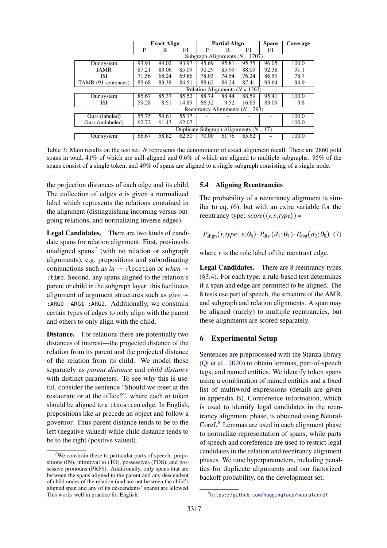<span id="page-7-4"></span>

|                     | <b>Exact Align</b>                       |       |       | <b>Partial Align</b>      |       |                                     | <b>Spans</b> | Coverage |
|---------------------|------------------------------------------|-------|-------|---------------------------|-------|-------------------------------------|--------------|----------|
|                     | P                                        | R     | F1    | P                         | R     | F1                                  | F1           |          |
|                     |                                          |       |       | Subgraph Alignments $(N)$ |       | $= 1707$                            |              |          |
| Our system          | 93.91                                    | 94.02 | 93.97 | 95.69                     | 95.81 | 95.75                               | 96.05        | 100.0    |
| JAMR                | 87.21                                    | 83.06 | 85.09 | 90.29                     | 85.99 | 88.09                               | 92.38        | 91.1     |
| ISI                 | 71.56                                    | 68.24 | 69.86 | 78.03                     | 74.54 | 76.24                               | 86.59        | 78.7     |
| TAMR (91 sentences) | 85.68                                    | 83.38 | 84.51 | 88.62                     | 86.24 | 87.41                               | 93.64        | 94.9     |
|                     | Relation Alignments (N<br>$= 1263$       |       |       |                           |       |                                     |              |          |
| Our system          | 85.67                                    | 85.37 | 85.52 | 88.74                     | 88.44 | 88.59                               | 95.41        | 100.0    |
| ISI                 | 59.28                                    | 8.51  | 14.89 | 66.32                     | 9.52  | 16.65                               | 83.09        | 9.8      |
|                     |                                          |       |       |                           |       | Reentrancy Alignments ( $N = 293$ ) |              |          |
| Ours (labeled)      | 55.75                                    | 54.61 | 55.17 |                           |       |                                     |              | 100.0    |
| Ours (unlabeled)    | 62.72                                    | 61.43 | 62.07 |                           |       |                                     |              | 100.0    |
|                     | Duplicate Subgraph Alignments $(N = 17)$ |       |       |                           |       |                                     |              |          |
| Our system          | 66.67                                    | 58.82 | 62.50 | 70.00                     | 61.76 | 65.62                               |              | 100.0    |

Table 3: Main results on the test set. *N* represents the denominator of exact alignment recall. There are 2860 gold spans in total, 41% of which are null-aligned and 0.6% of which are aligned to multiple subgraphs. 95% of the spans consist of a single token, and 49% of spans are aligned to a single subgraph consisting of a single node.

the projection distances of each edge and its child. The collection of edges *a* is given a normalized label which represents the relations contained in the alignment (distinguishing incoming versus outgoing relations, and normalizing inverse edges).

Legal Candidates. There are two kinds of candidate spans for relation alignment. First, previously unaligned spans<sup>[7](#page-7-2)</sup> (with no relation or subgraph alignments), e.g. prepositions and subordinating conjunctions such as *in* → :location or *when* → :time. Second, any spans aligned to the relation's parent or child in the subgraph layer: this facilitates alignment of argument structures such as  $give \rightarrow$ :ARG0 :ARG1 :ARG2. Additionally, we constrain certain types of edges to only align with the parent and others to only align with the child.

Distance. For relations there are potentially two distances of interest—the projected distance of the relation from its parent and the projected distance of the relation from its child. We model these separately as *parent distance* and *child distance* with distinct parameters. To see why this is useful, consider the sentence "Should we meet at the restaurant or at the office?", where each *at* token should be aligned to a: location edge. In English, prepositions like *at* precede an object and follow a governor. Thus parent distance tends to be to the left (negative valued) while child distance tends to be to the right (positive valued).

### 5.4 Aligning Reentrancies

The probability of a reentrancy alignment is similar to eq. [\(6\)](#page-6-3), but with an extra variable for the reentrancy type:  $score(\langle r, s, type \rangle) =$ 

$$
P_{\text{align}}(r, type \mid s; \theta_6) \cdot P_{\text{dist}}(d_1; \theta_7) \cdot P_{\text{dist}}(d_2; \theta_8) \tag{7}
$$

where  $r$  is the role label of the reentrant edge.

Legal Candidates. There are 8 reentrancy types ([§3.4\)](#page-3-3). For each type, a rule-based test determines if a span and edge are permitted to be aligned. The 8 tests use part of speech, the structure of the AMR, and subgraph and relation alignments. A span may be aligned (rarely) to multiple reentrancies, but these alignments are scored separately.

#### 6 Experimental Setup

Sentences are preprocessed with the Stanza library [\(Qi et al.,](#page-9-20) [2020\)](#page-9-20) to obtain lemmas, part-of-speech tags, and named entities. We identify token spans using a combination of named entities and a fixed list of multiword expressions (details are given in appendix [B\)](#page-10-1). Coreference information, which is used to identify legal candidates in the reentrancy alignment phase, is obtained using Neural-Coref.<sup>[8](#page-7-3)</sup> Lemmas are used in each alignment phase to normalize representation of spans, while parts of speech and coreference are used to restrict legal candidates in the relation and reentrancy alignment phases. We tune hyperparameters, including penalties for duplicate alignments and our factorized backoff probability, on the development set.

<span id="page-7-2"></span><span id="page-7-1"></span> $7$ We constrain these to particular parts of speech: prepositions (IN), infinitival to  $(TO)$ , possessives (POS), and possessive pronouns (PRP\$). Additionally, only spans that are between the spans aligned to the parent and any descendent of child nodes of the relation (and are not between the child's aligned span and any of its descendants' spans) are allowed. This works well in practice for English.

<span id="page-7-3"></span><span id="page-7-0"></span><sup>8</sup> <https://github.com/huggingface/neuralcoref>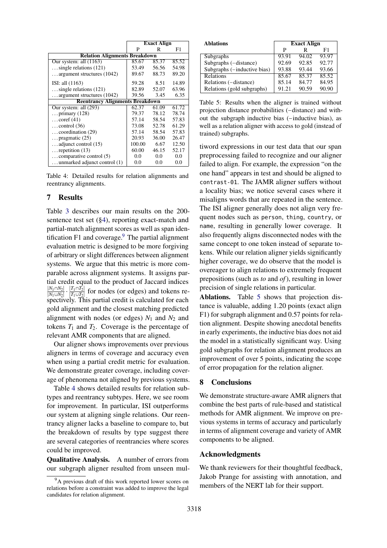<span id="page-8-1"></span>

|                                        | <b>Exact Align</b> |       |       |  |
|----------------------------------------|--------------------|-------|-------|--|
|                                        | Р                  | R     | F1    |  |
| <b>Relation Alignments Breakdown</b>   |                    |       |       |  |
| Our system: all $(1163)$               | 85.67              | 85.37 | 85.52 |  |
| $\ldots$ single relations (121)        | 53.49              | 56.56 | 54.98 |  |
| argument structures (1042)             | 89.67              | 88.73 | 89.20 |  |
| ISI: all (1163)                        | 59.28              | 8.51  | 14.89 |  |
| $\ldots$ single relations (121)        | 82.89              | 52.07 | 63.96 |  |
| $\ldots$ argument structures (1042)    | 39.56              | 3.45  | 6.35  |  |
| <b>Reentrancy Alignments Breakdown</b> |                    |       |       |  |
| Our system: all $(293)$                | 62.37              | 61.09 | 61.72 |  |
| primary $(128)$                        | 79.37              | 78.12 | 78.74 |  |
| $\ldots$ coref (41)                    | 57.14              | 58.54 | 57.83 |  |
| $\ldots$ control (36)                  | 73.08              | 52.78 | 61.29 |  |
| coordination $(29)$                    | 57.14              | 58.54 | 57.83 |  |
| pragmatic $(25)$                       | 20.93              | 36.00 | 26.47 |  |
| $\ldots$ adjunct control (15)          | 100.00             | 6.67  | 12.50 |  |
| $\ldots$ repetition (13)               | 60.00              | 46.15 | 52.17 |  |
| $\ldots$ comparative control (5)       | 0.0                | 0.0   | 0.0   |  |
| unmarked adjunct control (1)           | 0.0                | 0.0   | 0.0   |  |

Table 4: Detailed results for relation alignments and reentrancy alignments.

### 7 Results

Table [3](#page-7-4) describes our main results on the 200 sentence test set ([§4\)](#page-3-0), reporting exact-match and partial-match alignment scores as well as span identification F1 and coverage. $9$  The partial alignment evaluation metric is designed to be more forgiving of arbitrary or slight differences between alignment systems. We argue that this metric is more comparable across alignment systems. It assigns partial credit equal to the product of Jaccard indices ∣*N*1∩*N*2∣  $\frac{|N_1 \cap N_2|}{|N_1 \cup N_2|} \cdot \frac{|T_1 \cap T_2|}{|T_1 \cup T_2|}$  $\frac{|I_1 \cap I_2|}{|T_1 \cup T_2|}$  for nodes (or edges) and tokens respectively. This partial credit is calculated for each gold alignment and the closest matching predicted alignment with nodes (or edges)  $N_1$  and  $N_2$  and tokens  $T_1$  and  $T_2$ . Coverage is the percentage of relevant AMR components that are aligned.

Our aligner shows improvements over previous aligners in terms of coverage and accuracy even when using a partial credit metric for evaluation. We demonstrate greater coverage, including coverage of phenomena not aligned by previous systems.

Table [4](#page-8-1) shows detailed results for relation subtypes and reentrancy subtypes. Here, we see room for improvement. In particular, ISI outperforms our system at aligning single relations. Our reentrancy aligner lacks a baseline to compare to, but the breakdown of results by type suggest there are several categories of reentrancies where scores could be improved.

Qualitative Analysis. A number of errors from our subgraph aligner resulted from unseen mul-

<span id="page-8-2"></span>

| <b>Ablations</b>            | <b>Exact Align</b> |       |       |  |
|-----------------------------|--------------------|-------|-------|--|
|                             | P                  | R     | F1    |  |
| Subgraphs                   | 93.91              | 94.02 | 93.97 |  |
| Subgraphs (-distance)       | 92.69              | 92.85 | 92.77 |  |
| Subgraphs (-inductive bias) | 93.88              | 93.44 | 93.66 |  |
| Relations                   | 85.67              | 85.37 | 85.52 |  |
| Relations (-distance)       | 85.14              | 84.77 | 84.95 |  |
| Relations (gold subgraphs)  | 91.21              | 90.59 | 90.90 |  |

Table 5: Results when the aligner is trained without projection distance probabilities (−distance) and without the subgraph inductive bias (−inductive bias), as well as a relation aligner with access to gold (instead of trained) subgraphs.

tiword expressions in our test data that our span preprocessing failed to recognize and our aligner failed to align. For example, the expression "on the one hand" appears in test and should be aligned to contrast-01. The JAMR aligner suffers without a locality bias; we notice several cases where it misaligns words that are repeated in the sentence. The ISI aligner generally does not align very frequent nodes such as person, thing, country, or name, resulting in generally lower coverage. It also frequently aligns disconnected nodes with the same concept to one token instead of separate tokens. While our relation aligner yields significantly higher coverage, we do observe that the model is overeager to align relations to extremely frequent prepositions (such as *to* and *of*), resulting in lower precision of single relations in particular.

Ablations. Table [5](#page-8-2) shows that projection distance is valuable, adding 1.20 points (exact align F1) for subgraph alignment and 0.57 points for relation alignment. Despite showing anecdotal benefits in early experiments, the inductive bias does not aid the model in a statistically significant way. Using gold subgraphs for relation alignment produces an improvement of over 5 points, indicating the scope of error propagation for the relation aligner.

#### 8 Conclusions

We demonstrate structure-aware AMR aligners that combine the best parts of rule-based and statistical methods for AMR alignment. We improve on previous systems in terms of accuracy and particularly in terms of alignment coverage and variety of AMR components to be aligned.

#### Acknowledgments

We thank reviewers for their thoughtful feedback, Jakob Prange for assisting with annotation, and members of the NERT lab for their support.

<span id="page-8-0"></span><sup>&</sup>lt;sup>9</sup>A previous draft of this work reported lower scores on relations before a constraint was added to improve the legal candidates for relation alignment.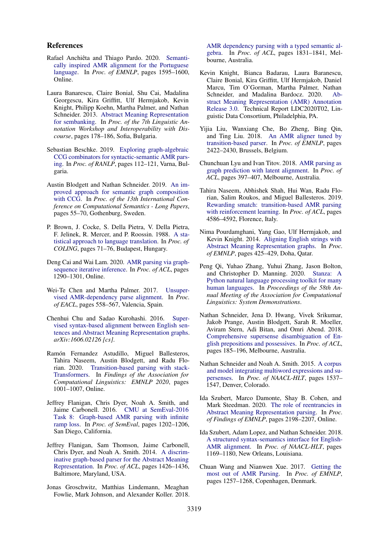#### References

- <span id="page-9-13"></span>Rafael Anchiêta and Thiago Pardo. 2020. [Semanti](https://www.aclweb.org/anthology/2020.emnlp-main.123)[cally inspired AMR alignment for the Portuguese](https://www.aclweb.org/anthology/2020.emnlp-main.123) [language.](https://www.aclweb.org/anthology/2020.emnlp-main.123) In *Proc. of EMNLP*, pages 1595–1600, Online.
- <span id="page-9-0"></span>Laura Banarescu, Claire Bonial, Shu Cai, Madalina Georgescu, Kira Griffitt, Ulf Hermjakob, Kevin Knight, Philipp Koehn, Martha Palmer, and Nathan Schneider. 2013. [Abstract Meaning Representation](http://www.aclweb.org/anthology/W13-2322) [for sembanking.](http://www.aclweb.org/anthology/W13-2322) In *Proc. of the 7th Linguistic Annotation Workshop and Interoperability with Discourse*, pages 178–186, Sofia, Bulgaria.
- <span id="page-9-17"></span>Sebastian Beschke. 2019. [Exploring graph-algebraic](https://www.aclweb.org/anthology/R19-1014) [CCG combinators for syntactic-semantic AMR pars](https://www.aclweb.org/anthology/R19-1014)[ing.](https://www.aclweb.org/anthology/R19-1014) In *Proc. of RANLP*, pages 112–121, Varna, Bulgaria.
- <span id="page-9-18"></span>Austin Blodgett and Nathan Schneider. 2019. [An im](https://www.aclweb.org/anthology/W19-0405)[proved approach for semantic graph composition](https://www.aclweb.org/anthology/W19-0405) [with CCG.](https://www.aclweb.org/anthology/W19-0405) In *Proc. of the 13th International Conference on Computational Semantics - Long Papers*, pages 55–70, Gothenburg, Sweden.
- <span id="page-9-9"></span>P. Brown, J. Cocke, S. Della Pietra, V. Della Pietra, F. Jelinek, R. Mercer, and P. Roossin. 1988. [A sta](https://www.aclweb.org/anthology/C88-1016)[tistical approach to language translation.](https://www.aclweb.org/anthology/C88-1016) In *Proc. of COLING*, pages 71–76, Budapest, Hungary.
- <span id="page-9-5"></span>Deng Cai and Wai Lam. 2020. [AMR parsing via graph](https://www.aclweb.org/anthology/2020.acl-main.119)[sequence iterative inference.](https://www.aclweb.org/anthology/2020.acl-main.119) In *Proc. of ACL*, pages 1290–1301, Online.
- <span id="page-9-11"></span>Wei-Te Chen and Martha Palmer. 2017. [Unsuper](http://www.aclweb.org/anthology/E17-1053)[vised AMR-dependency parse alignment.](http://www.aclweb.org/anthology/E17-1053) In *Proc. of EACL*, pages 558–567, Valencia, Spain.
- <span id="page-9-12"></span>Chenhui Chu and Sadao Kurohashi. 2016. [Super](http://arxiv.org/abs/1606.02126)[vised syntax-based alignment between English sen](http://arxiv.org/abs/1606.02126)[tences and Abstract Meaning Representation graphs.](http://arxiv.org/abs/1606.02126) *arXiv:1606.02126 [cs]*.
- <span id="page-9-10"></span>Ramón Fernandez Astudillo, Miguel Ballesteros, Tahira Naseem, Austin Blodgett, and Radu Florian. 2020. [Transition-based parsing with stack-](https://www.aclweb.org/anthology/2020.findings-emnlp.89)[Transformers.](https://www.aclweb.org/anthology/2020.findings-emnlp.89) In *Findings of the Association for Computational Linguistics: EMNLP 2020*, pages 1001–1007, Online.
- <span id="page-9-7"></span>Jeffrey Flanigan, Chris Dyer, Noah A. Smith, and Jaime Carbonell. 2016. [CMU at SemEval-2016](https://www.aclweb.org/anthology/S16-1186) [Task 8: Graph-based AMR parsing with infinite](https://www.aclweb.org/anthology/S16-1186) [ramp loss.](https://www.aclweb.org/anthology/S16-1186) In *Proc. of SemEval*, pages 1202–1206, San Diego, California.
- <span id="page-9-6"></span>Jeffrey Flanigan, Sam Thomson, Jaime Carbonell, Chris Dyer, and Noah A. Smith. 2014. [A discrim](http://www.aclweb.org/anthology/P14-1134)[inative graph-based parser for the Abstract Meaning](http://www.aclweb.org/anthology/P14-1134) [Representation.](http://www.aclweb.org/anthology/P14-1134) In *Proc. of ACL*, pages 1426–1436, Baltimore, Maryland, USA.
- <span id="page-9-16"></span>Jonas Groschwitz, Matthias Lindemann, Meaghan Fowlie, Mark Johnson, and Alexander Koller. 2018.

[AMR dependency parsing with a typed semantic al](http://aclweb.org/anthology/P18-1170)[gebra.](http://aclweb.org/anthology/P18-1170) In *Proc. of ACL*, pages 1831–1841, Melbourne, Australia.

- <span id="page-9-19"></span>Kevin Knight, Bianca Badarau, Laura Baranescu, Claire Bonial, Kira Griffitt, Ulf Hermjakob, Daniel Marcu, Tim O'Gorman, Martha Palmer, Nathan Schneider, and Madalina Bardocz. 2020. [Ab](https://catalog.ldc.upenn.edu/LDC2020T02)[stract Meaning Representation \(AMR\) Annotation](https://catalog.ldc.upenn.edu/LDC2020T02) [Release 3.0.](https://catalog.ldc.upenn.edu/LDC2020T02) Technical Report LDC2020T02, Linguistic Data Consortium, Philadelphia, PA.
- <span id="page-9-3"></span>Yijia Liu, Wanxiang Che, Bo Zheng, Bing Qin, and Ting Liu. 2018. [An AMR aligner tuned by](https://www.aclweb.org/anthology/D18-1264) [transition-based parser.](https://www.aclweb.org/anthology/D18-1264) In *Proc. of EMNLP*, pages 2422–2430, Brussels, Belgium.
- <span id="page-9-4"></span>Chunchuan Lyu and Ivan Titov. 2018. [AMR parsing as](http://aclweb.org/anthology/P18-1037) [graph prediction with latent alignment.](http://aclweb.org/anthology/P18-1037) In *Proc. of ACL*, pages 397–407, Melbourne, Australia.
- <span id="page-9-2"></span>Tahira Naseem, Abhishek Shah, Hui Wan, Radu Florian, Salim Roukos, and Miguel Ballesteros. 2019. [Rewarding smatch: transition-based AMR parsing](https://www.aclweb.org/anthology/P19-1451) [with reinforcement learning.](https://www.aclweb.org/anthology/P19-1451) In *Proc. of ACL*, pages 4586–4592, Florence, Italy.
- <span id="page-9-1"></span>Nima Pourdamghani, Yang Gao, Ulf Hermjakob, and Kevin Knight. 2014. [Aligning English strings with](http://www.aclweb.org/anthology/D14-1048) [Abstract Meaning Representation graphs.](http://www.aclweb.org/anthology/D14-1048) In *Proc. of EMNLP*, pages 425–429, Doha, Qatar.
- <span id="page-9-20"></span>Peng Qi, Yuhao Zhang, Yuhui Zhang, Jason Bolton, and Christopher D. Manning. 2020. [Stanza: A](https://nlp.stanford.edu/pubs/qi2020stanza.pdf) [Python natural language processing toolkit for many](https://nlp.stanford.edu/pubs/qi2020stanza.pdf) [human languages.](https://nlp.stanford.edu/pubs/qi2020stanza.pdf) In *Proceedings of the 58th Annual Meeting of the Association for Computational Linguistics: System Demonstrations*.
- <span id="page-9-22"></span>Nathan Schneider, Jena D. Hwang, Vivek Srikumar, Jakob Prange, Austin Blodgett, Sarah R. Moeller, Aviram Stern, Adi Bitan, and Omri Abend. 2018. [Comprehensive supersense disambiguation of En](http://aclweb.org/anthology/P18-1018)[glish prepositions and possessives.](http://aclweb.org/anthology/P18-1018) In *Proc. of ACL*, pages 185–196, Melbourne, Australia.
- <span id="page-9-21"></span>Nathan Schneider and Noah A. Smith. 2015. [A corpus](http://www.aclweb.org/anthology/N15-1177) [and model integrating multiword expressions and su](http://www.aclweb.org/anthology/N15-1177)[persenses.](http://www.aclweb.org/anthology/N15-1177) In *Proc. of NAACL-HLT*, pages 1537– 1547, Denver, Colorado.
- <span id="page-9-15"></span>Ida Szubert, Marco Damonte, Shay B. Cohen, and Mark Steedman. 2020. [The role of reentrancies in](https://www.aclweb.org/anthology/2020.findings-emnlp.199) [Abstract Meaning Representation parsing.](https://www.aclweb.org/anthology/2020.findings-emnlp.199) In *Proc. of Findings of EMNLP*, pages 2198–2207, Online.
- <span id="page-9-8"></span>Ida Szubert, Adam Lopez, and Nathan Schneider. 2018. [A structured syntax-semantics interface for English-](http://aclweb.org/anthology/N18-1106)[AMR alignment.](http://aclweb.org/anthology/N18-1106) In *Proc. of NAACL-HLT*, pages 1169–1180, New Orleans, Louisiana.
- <span id="page-9-14"></span>Chuan Wang and Nianwen Xue. 2017. [Getting the](https://www.aclweb.org/anthology/D17-1129) [most out of AMR Parsing.](https://www.aclweb.org/anthology/D17-1129) In *Proc. of EMNLP*, pages 1257–1268, Copenhagen, Denmark.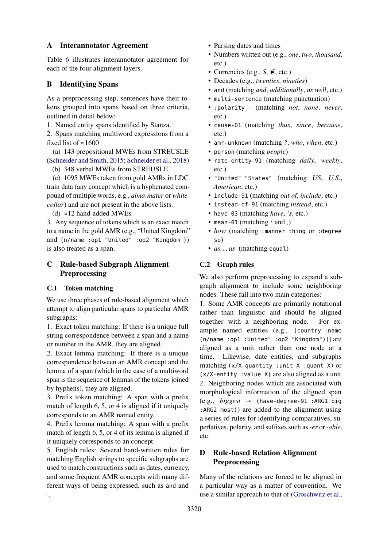### <span id="page-10-0"></span>A Interannotator Agreement

Table [6](#page-11-1) illustrates interannotator agreement for each of the four alignment layers.

## <span id="page-10-1"></span>B Identifying Spans

As a preprocessing step, sentences have their tokens grouped into spans based on three criteria, outlined in detail below:

1. Named entity spans identified by Stanza.

2. Spans matching multiword expressions from a fixed list of  $\approx 1600$ 

(a) 143 prepositional MWEs from STREUSLE [\(Schneider and Smith,](#page-9-21) [2015;](#page-9-21) [Schneider et al.,](#page-9-22) [2018\)](#page-9-22)

(b) 348 verbal MWEs from STREUSLE

(c) 1095 MWEs taken from gold AMRs in LDC train data (any concept which is a hyphenated compound of multiple words, e.g., *alma-mater* or *whitecollar*) and are not present in the above lists.

(d)  $\approx$ 12 hand-added MWEs

3. Any sequence of tokens which is an exact match to a name in the gold AMR (e.g., "United Kingdom" and (n/name :op1 "United" :op2 "Kingdom")) is also treated as a span.

## <span id="page-10-2"></span>C Rule-based Subgraph Alignment Preprocessing

## C.1 Token matching

We use three phases of rule-based alignment which attempt to align particular spans to particular AMR subgraphs:

1. Exact token matching: If there is a unique full string correspondence between a span and a name or number in the AMR, they are aligned.

2. Exact lemma matching: If there is a unique correspondence between an AMR concept and the lemma of a span (which in the case of a multiword span is the sequence of lemmas of the tokens joined by hyphens), they are aligned.

3. Prefix token matching: A span with a prefix match of length 6, 5, or 4 is aligned if it uniquely corresponds to an AMR named entity.

4. Prefix lemma matching: A span with a prefix match of length 6, 5, or 4 of its lemma is aligned if it uniquely corresponds to an concept.

5. English rules: Several hand-written rules for matching English strings to specific subgraphs are used to match constructions such as dates, currency, and some frequent AMR concepts with many different ways of being expressed, such as and and -.

- Parsing dates and times
- Numbers written out (e.g., *one*, *two*, *thousand*, etc.)
- Currencies (e.g.,  $\hat{s}$ ,  $\in$ , etc.)
- Decades (e.g., *twenties*, *nineties*)
- and (matching *and*, *additionally*, *as well*, etc.)
- multi-sentence (matching punctuation)
- :polarity (matching *not*, *none*, *never*, etc.)
- cause-01 (matching *thus*, *since*, *because*, etc.)
- amr-unknown (matching *?*, *who*, *when*, etc.)
- person (matching *people*)
- rate-entity-91 (matching *daily*, *weekly*, etc.)
- "United" "States" (matching *US*, *U.S.*, *American*, etc.)
- include-91 (matching *out of*, *include*, etc.)
- instead-of-91 (matching *instead*, etc.)
- have-03 (matching *have*, *'s*, etc.)
- mean-01 (matching *:* and *,*)
- *how* (matching :manner thing or :degree so)
- *as. . . as* (matching equal)

## C.2 Graph rules

We also perform preprocessing to expand a subgraph alignment to include some neighboring nodes. These fall into two main categories:

1. Some AMR concepts are primarily notational rather than linguistic and should be aligned together with a neighboring node. For example named entities (e.g., (country :name (n/name :op1 :United" :op2 "Kingdom"))) are aligned as a unit rather than one node at a time. Likewise, date entities, and subgraphs matching (x/X-quantity :unit X :quant X) or (x/X-entity :value X) are also aligned as a unit. 2. Neighboring nodes which are associated with morphological information of the aligned span (e.g., *biggest* → (have-degree-91 :ARG1 big :ARG2 most)) are added to the alignment using a series of rules for identifying comparatives, superlatives, polarity, and suffixes such as *-er* or *-able*, etc.

## D Rule-based Relation Alignment **Preprocessing**

Many of the relations are forced to be aligned in a particular way as a matter of convention. We use a similar approach to that of [\(Groschwitz et al.,](#page-9-16)